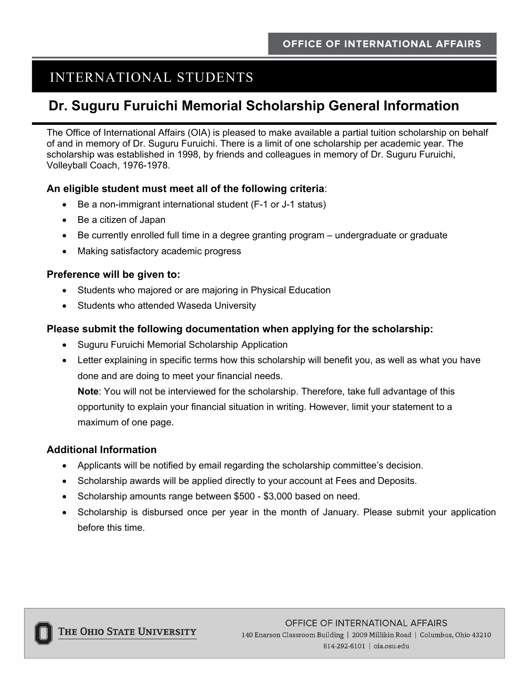# INTERNATIONAL STUDENTS

### **Dr. Suguru Furuichi Memorial Scholarship General Information**

The Office of International Affairs (OIA) is pleased to make available a partial tuition scholarship on behalf of and in memory of Dr. Suguru Furuichi. There is a limit of one scholarship per academic year. The scholarship was established in 1998, by friends and colleagues in memory of Dr. Suguru Furuichi, Volleyball Coach, 1976-1978.

#### **An eligible student must meet all of the following criteria**:

- Be a non-immigrant international student (F-1 or J-1 status)
- Be a citizen of Japan
- Be currently enrolled full time in a degree granting program undergraduate or graduate
- Making satisfactory academic progress

#### **Preference will be given to:**

- Students who majored or are majoring in Physical Education
- Students who attended Waseda University

#### **Please submit the following documentation when applying for the scholarship:**

- Suguru Furuichi Memorial Scholarship Application
- Letter explaining in specific terms how this scholarship will benefit you, as well as what you have done and are doing to meet your financial needs.

**Note**: You will not be interviewed for the scholarship. Therefore, take full advantage of this opportunity to explain your financial situation in writing. However, limit your statement to a maximum of one page.

#### **Additional Information**

- Applicants will be notified by email regarding the scholarship committee's decision.
- Scholarship awards will be applied directly to your account at Fees and Deposits.
- Scholarship amounts range between \$500 \$3,000 based on need.
- Scholarship is disbursed once per year in the month of January. Please submit your application before this time.